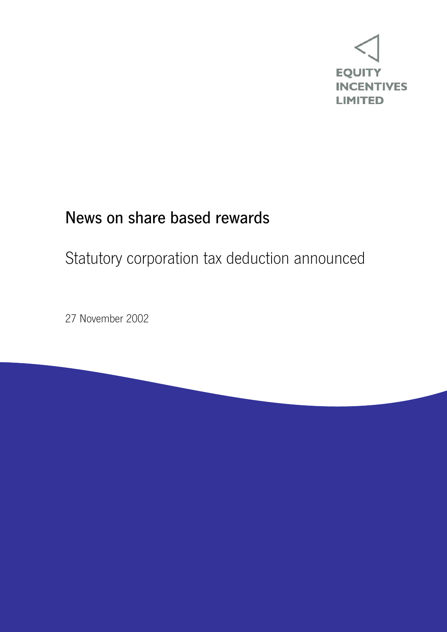

## News on share based rewards

# Statutory corporation tax deduction announced

27 November 2002

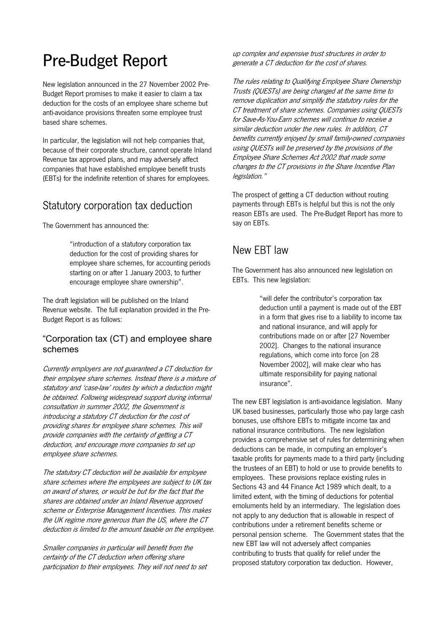## Pre-Budget Report

New legislation announced in the 27 November 2002 Pre-Budget Report promises to make it easier to claim a tax deduction for the costs of an employee share scheme but anti-avoidance provisions threaten some employee trust based share schemes.

In particular, the legislation will not help companies that, because of their corporate structure, cannot operate Inland Revenue tax approved plans, and may adversely affect companies that have established employee benefit trusts (EBTs) for the indefinite retention of shares for employees.

### Statutory corporation tax deduction

The Government has announced the:

 "introduction of a statutory corporation tax deduction for the cost of providing shares for employee share schemes, for accounting periods starting on or after 1 January 2003, to further encourage employee share ownership".

The draft legislation will be published on the Inland Revenue website. The full explanation provided in the Pre-Budget Report is as follows:

#### "Corporation tax (CT) and employee share schemes

Currently employers are not guaranteed a CT deduction for their employee share schemes. Instead there is a mixture of statutory and 'case-law' routes by which a deduction might be obtained. Following widespread support during informal consultation in summer 2002, the Government is introducing a statutory CT deduction for the cost of providing shares for employee share schemes. This will provide companies with the certainty of getting a CT deduction, and encourage more companies to set up employee share schemes.

The statutory CT deduction will be available for employee share schemes where the employees are subject to UK tax on award of shares, or would be but for the fact that the shares are obtained under an Inland Revenue approved scheme or Enterprise Management Incentives. This makes the UK regime more generous than the US, where the CT deduction is limited to the amount taxable on the employee.

Smaller companies in particular will benefit from the certainty of the CT deduction when offering share participation to their employees. They will not need to set up complex and expensive trust structures in order to generate a CT deduction for the cost of shares.

The rules relating to Qualifying Employee Share Ownership Trusts (QUESTs) are being changed at the same time to remove duplication and simplify the statutory rules for the CT treatment of share schemes. Companies using QUESTs for Save-As-You-Earn schemes will continue to receive a similar deduction under the new rules. In addition, CT benefits currently enjoyed by small family-owned companies using QUESTs will be preserved by the provisions of the Employee Share Schemes Act 2002 that made some changes to the CT provisions in the Share Incentive Plan legislation."

The prospect of getting a CT deduction without routing payments through EBTs is helpful but this is not the only reason EBTs are used. The Pre-Budget Report has more to say on EBTs.

### New EBT law

The Government has also announced new legislation on EBTs. This new legislation:

> "will defer the contributor's corporation tax deduction until a payment is made out of the EBT in a form that gives rise to a liability to income tax and national insurance, and will apply for contributions made on or after [27 November 2002]. Changes to the national insurance regulations, which come into force [on 28 November 2002], will make clear who has ultimate responsibility for paying national insurance".

The new EBT legislation is anti-avoidance legislation. Many UK based businesses, particularly those who pay large cash bonuses, use offshore EBTs to mitigate income tax and national insurance contributions. The new legislation provides a comprehensive set of rules for determining when deductions can be made, in computing an employer's taxable profits for payments made to a third party (including the trustees of an EBT) to hold or use to provide benefits to employees. These provisions replace existing rules in Sections 43 and 44 Finance Act 1989 which dealt, to a limited extent, with the timing of deductions for potential emoluments held by an intermediary. The legislation does not apply to any deduction that is allowable in respect of contributions under a retirement benefits scheme or personal pension scheme. The Government states that the new EBT law will not adversely affect companies contributing to trusts that qualify for relief under the proposed statutory corporation tax deduction. However,